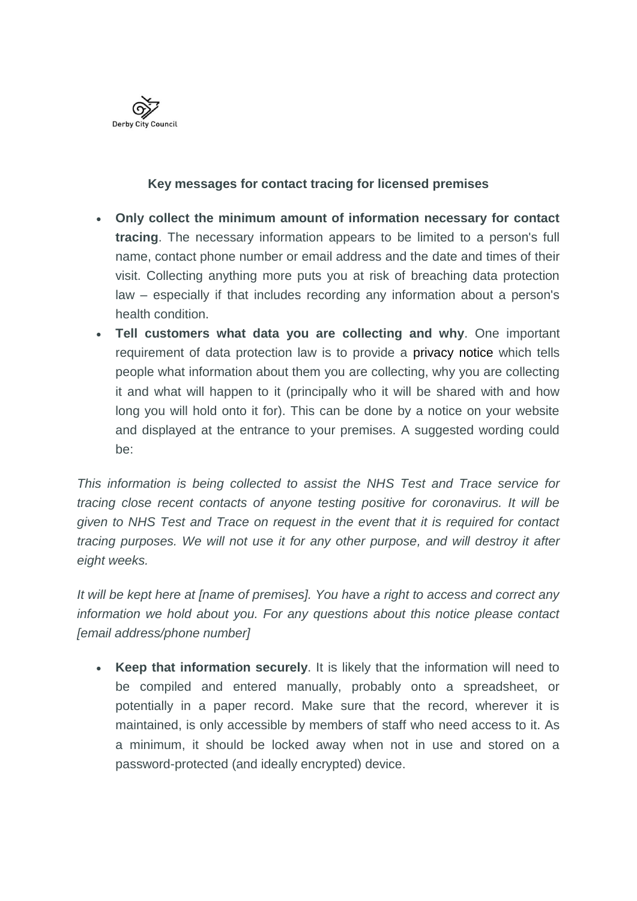

## **Key messages for contact tracing for licensed premises**

- **Only collect the minimum amount of information necessary for contact tracing**. The necessary information appears to be limited to a person's full name, contact phone number or email address and the date and times of their visit. Collecting anything more puts you at risk of breaching data protection law – especially if that includes recording any information about a person's health condition.
- **Tell customers what data you are collecting and why**. One important requirement of data protection law is to provide a [privacy notice](http://lexlinks.cornerstonebarristers.com/marketingServer/incoming.aspx?l=0x30F91944B60079A2DC5648B59E513ADE13619DF7AB08F108AD8A0E15A0309716F05A61BD1783DF40661A23BEB43CC0B17EC6ED3548AE039A33D91EE146F452C2865E98EB5C9A32E21B29003CD0A2B70BE60EAEAC63652C1579C506F1D91D59B0F1E1A37C3656C40DE79A7D3B41C734ED39B8F82C47D81C409E94ED35243D90208E2D40F309ACEDA467FB63B798ECED781B6F46B2AB71F64316C2DB4CC2134878&ln=22&d=0x7C0176C586DD3A52%5e0xF802A30ECB782166|0x49EB4C9596DBE1A5%5e0xBDC0B87423493533|0x4AA4940AA96EF179%5e0xBDC0B87423493533|0x1F76935CAA54AE0A%5e0x775ADE196EBF53B637E9B82B78071707A423A3FB48C532D41FA53216698D278D|0x4E70367B326D3F87%5e0xBDC0B87423493533|0x7789D30FD723DAF4%5e0xBDC0B87423493533|0xC00B32B3252A1623F7126F7C46654076%5e0xBDC0B87423493533|0xEC3640B4180F8F16%5e0x|0x40F3E49C83A12815%5e0x76CC2BF52FD8EFF5|0xF1B146662D144B75%5e0x2ECEB2DEDCE7D463|0xEA5DE7CEE9203CB2%5e0xCB450E3C7F977A392D2B3CB853217E73|0xA14B30AADF25AF0D%5e0x17922B9099DE2B55F699159D61C256AC1EE9C6511B169AAFD3E20933019DA08F658C7C2DD509E210|0xD52134AC788FF0FE%5e0xF8C5775D4DB70D1C|&c=103&s=4075) which tells people what information about them you are collecting, why you are collecting it and what will happen to it (principally who it will be shared with and how long you will hold onto it for). This can be done by a notice on your website and displayed at the entrance to your premises. A suggested wording could be:

*This information is being collected to assist the NHS Test and Trace service for tracing close recent contacts of anyone testing positive for coronavirus. It will be given to NHS Test and Trace on request in the event that it is required for contact tracing purposes. We will not use it for any other purpose, and will destroy it after eight weeks.*

*It will be kept here at [name of premises]. You have a right to access and correct any information we hold about you. For any questions about this notice please contact [email address/phone number]*

 **Keep that information securely**. It is likely that the information will need to be compiled and entered manually, probably onto a spreadsheet, or potentially in a paper record. Make sure that the record, wherever it is maintained, is only accessible by members of staff who need access to it. As a minimum, it should be locked away when not in use and stored on a password-protected (and ideally encrypted) device.